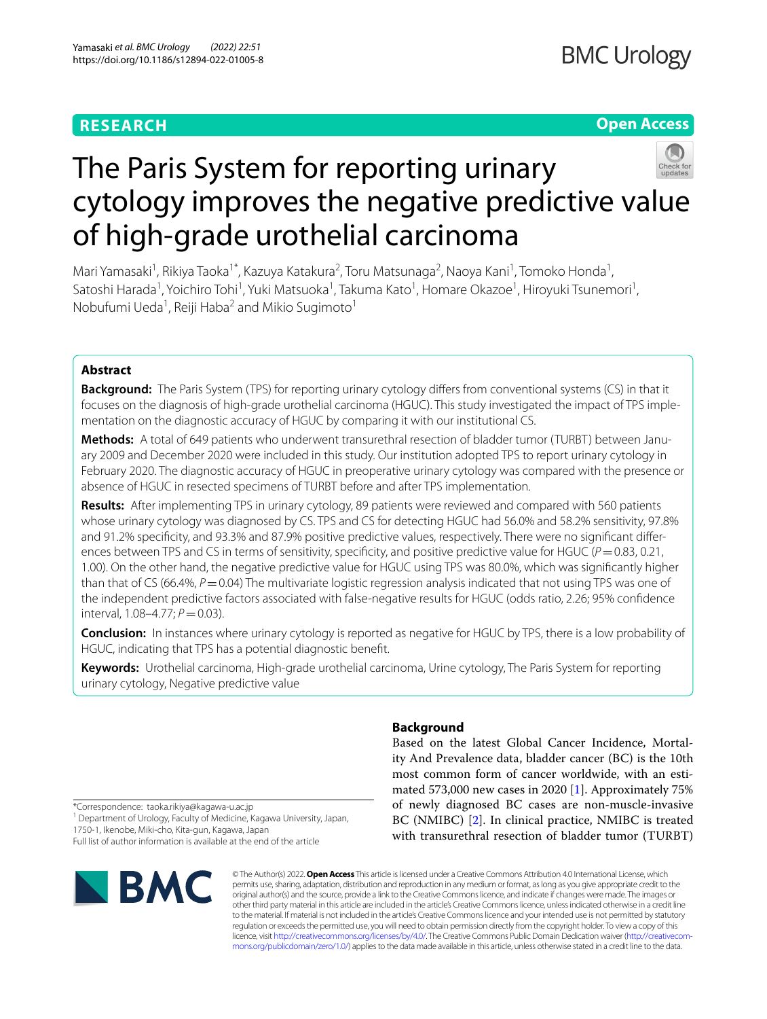# **RESEARCH**

# **Open Access**



# The Paris System for reporting urinary cytology improves the negative predictive value of high-grade urothelial carcinoma

Mari Yamasaki<sup>1</sup>, Rikiya Taoka<sup>1\*</sup>, Kazuya Katakura<sup>2</sup>, Toru Matsunaga<sup>2</sup>, Naoya Kani<sup>1</sup>, Tomoko Honda<sup>1</sup>, Satoshi Harada<sup>1</sup>, Yoichiro Tohi<sup>1</sup>, Yuki Matsuoka<sup>1</sup>, Takuma Kato<sup>1</sup>, Homare Okazoe<sup>1</sup>, Hiroyuki Tsunemori<sup>1</sup>, Nobufumi Ueda<sup>1</sup>, Reiji Haba<sup>2</sup> and Mikio Sugimoto<sup>1</sup>

# **Abstract**

**Background:** The Paris System (TPS) for reporting urinary cytology difers from conventional systems (CS) in that it focuses on the diagnosis of high-grade urothelial carcinoma (HGUC). This study investigated the impact of TPS implementation on the diagnostic accuracy of HGUC by comparing it with our institutional CS.

**Methods:** A total of 649 patients who underwent transurethral resection of bladder tumor (TURBT) between January 2009 and December 2020 were included in this study. Our institution adopted TPS to report urinary cytology in February 2020. The diagnostic accuracy of HGUC in preoperative urinary cytology was compared with the presence or absence of HGUC in resected specimens of TURBT before and after TPS implementation.

**Results:** After implementing TPS in urinary cytology, 89 patients were reviewed and compared with 560 patients whose urinary cytology was diagnosed by CS. TPS and CS for detecting HGUC had 56.0% and 58.2% sensitivity, 97.8% and 91.2% specifcity, and 93.3% and 87.9% positive predictive values, respectively. There were no signifcant diferences between TPS and CS in terms of sensitivity, specificity, and positive predictive value for HGUC ( $P=0.83$ , 0.21, 1.00). On the other hand, the negative predictive value for HGUC using TPS was 80.0%, which was signifcantly higher than that of CS (66.4%, *P* = 0.04) The multivariate logistic regression analysis indicated that not using TPS was one of the independent predictive factors associated with false-negative results for HGUC (odds ratio, 2.26; 95% confdence interval, 1.08–4.77;  $P = 0.03$ ).

**Conclusion:** In instances where urinary cytology is reported as negative for HGUC by TPS, there is a low probability of HGUC, indicating that TPS has a potential diagnostic beneft.

**Keywords:** Urothelial carcinoma, High-grade urothelial carcinoma, Urine cytology, The Paris System for reporting urinary cytology, Negative predictive value

# **Background**

Based on the latest Global Cancer Incidence, Mortality And Prevalence data, bladder cancer (BC) is the 10th most common form of cancer worldwide, with an estimated 573,000 new cases in 2020 [\[1\]](#page-4-0). Approximately 75% of newly diagnosed BC cases are non-muscle-invasive BC (NMIBC) [[2\]](#page-4-1). In clinical practice, NMIBC is treated with transurethral resection of bladder tumor (TURBT)

\*Correspondence: taoka.rikiya@kagawa-u.ac.jp

<sup>1</sup> Department of Urology, Faculty of Medicine, Kagawa University, Japan, 1750-1, Ikenobe, Miki-cho, Kita-gun, Kagawa, Japan

Full list of author information is available at the end of the article



© The Author(s) 2022. **Open Access** This article is licensed under a Creative Commons Attribution 4.0 International License, which permits use, sharing, adaptation, distribution and reproduction in any medium or format, as long as you give appropriate credit to the original author(s) and the source, provide a link to the Creative Commons licence, and indicate if changes were made. The images or other third party material in this article are included in the article's Creative Commons licence, unless indicated otherwise in a credit line to the material. If material is not included in the article's Creative Commons licence and your intended use is not permitted by statutory regulation or exceeds the permitted use, you will need to obtain permission directly from the copyright holder. To view a copy of this licence, visit [http://creativecommons.org/licenses/by/4.0/.](http://creativecommons.org/licenses/by/4.0/) The Creative Commons Public Domain Dedication waiver ([http://creativecom](http://creativecommons.org/publicdomain/zero/1.0/)[mons.org/publicdomain/zero/1.0/\)](http://creativecommons.org/publicdomain/zero/1.0/) applies to the data made available in this article, unless otherwise stated in a credit line to the data.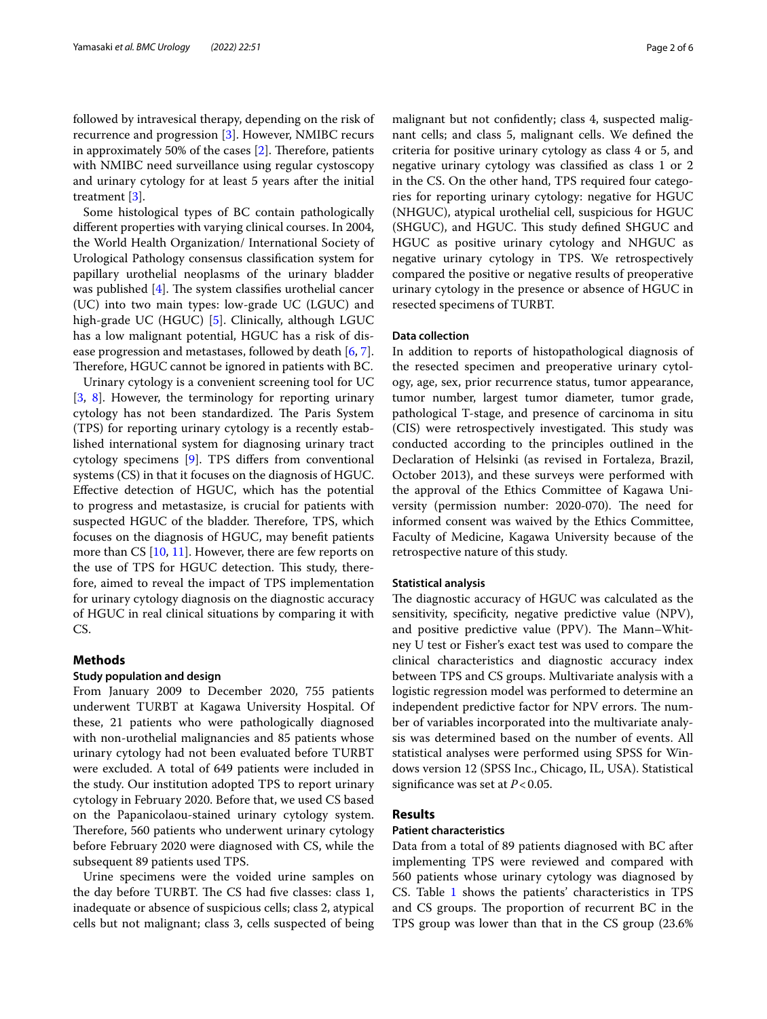followed by intravesical therapy, depending on the risk of recurrence and progression [\[3](#page-4-2)]. However, NMIBC recurs in approximately 50% of the cases  $[2]$  $[2]$ . Therefore, patients with NMIBC need surveillance using regular cystoscopy and urinary cytology for at least 5 years after the initial treatment [[3\]](#page-4-2).

Some histological types of BC contain pathologically diferent properties with varying clinical courses. In 2004, the World Health Organization/ International Society of Urological Pathology consensus classifcation system for papillary urothelial neoplasms of the urinary bladder was published  $[4]$  $[4]$ . The system classifies urothelial cancer (UC) into two main types: low-grade UC (LGUC) and high-grade UC (HGUC) [\[5](#page-4-4)]. Clinically, although LGUC has a low malignant potential, HGUC has a risk of disease progression and metastases, followed by death [[6,](#page-4-5) [7](#page-4-6)]. Therefore, HGUC cannot be ignored in patients with BC.

Urinary cytology is a convenient screening tool for UC [[3,](#page-4-2) [8](#page-4-7)]. However, the terminology for reporting urinary cytology has not been standardized. The Paris System (TPS) for reporting urinary cytology is a recently established international system for diagnosing urinary tract cytology specimens [[9](#page-4-8)]. TPS difers from conventional systems (CS) in that it focuses on the diagnosis of HGUC. Efective detection of HGUC, which has the potential to progress and metastasize, is crucial for patients with suspected HGUC of the bladder. Therefore, TPS, which focuses on the diagnosis of HGUC, may beneft patients more than CS [\[10,](#page-4-9) [11](#page-5-0)]. However, there are few reports on the use of TPS for HGUC detection. This study, therefore, aimed to reveal the impact of TPS implementation for urinary cytology diagnosis on the diagnostic accuracy of HGUC in real clinical situations by comparing it with CS.

# **Methods**

## **Study population and design**

From January 2009 to December 2020, 755 patients underwent TURBT at Kagawa University Hospital. Of these, 21 patients who were pathologically diagnosed with non-urothelial malignancies and 85 patients whose urinary cytology had not been evaluated before TURBT were excluded. A total of 649 patients were included in the study. Our institution adopted TPS to report urinary cytology in February 2020. Before that, we used CS based on the Papanicolaou-stained urinary cytology system. Therefore, 560 patients who underwent urinary cytology before February 2020 were diagnosed with CS, while the subsequent 89 patients used TPS.

Urine specimens were the voided urine samples on the day before TURBT. The CS had five classes: class 1, inadequate or absence of suspicious cells; class 2, atypical cells but not malignant; class 3, cells suspected of being malignant but not confdently; class 4, suspected malignant cells; and class 5, malignant cells. We defned the criteria for positive urinary cytology as class 4 or 5, and negative urinary cytology was classifed as class 1 or 2 in the CS. On the other hand, TPS required four categories for reporting urinary cytology: negative for HGUC (NHGUC), atypical urothelial cell, suspicious for HGUC (SHGUC), and HGUC. This study defined SHGUC and HGUC as positive urinary cytology and NHGUC as negative urinary cytology in TPS. We retrospectively compared the positive or negative results of preoperative urinary cytology in the presence or absence of HGUC in resected specimens of TURBT.

# **Data collection**

In addition to reports of histopathological diagnosis of the resected specimen and preoperative urinary cytology, age, sex, prior recurrence status, tumor appearance, tumor number, largest tumor diameter, tumor grade, pathological T-stage, and presence of carcinoma in situ (CIS) were retrospectively investigated. This study was conducted according to the principles outlined in the Declaration of Helsinki (as revised in Fortaleza, Brazil, October 2013), and these surveys were performed with the approval of the Ethics Committee of Kagawa University (permission number: 2020-070). The need for informed consent was waived by the Ethics Committee, Faculty of Medicine, Kagawa University because of the retrospective nature of this study.

## **Statistical analysis**

The diagnostic accuracy of HGUC was calculated as the sensitivity, specificity, negative predictive value (NPV), and positive predictive value (PPV). The Mann-Whitney U test or Fisher's exact test was used to compare the clinical characteristics and diagnostic accuracy index between TPS and CS groups. Multivariate analysis with a logistic regression model was performed to determine an independent predictive factor for NPV errors. The number of variables incorporated into the multivariate analysis was determined based on the number of events. All statistical analyses were performed using SPSS for Windows version 12 (SPSS Inc., Chicago, IL, USA). Statistical signifcance was set at *P*<0.05.

## **Results**

## **Patient characteristics**

Data from a total of 89 patients diagnosed with BC after implementing TPS were reviewed and compared with 560 patients whose urinary cytology was diagnosed by CS. Table [1](#page-2-0) shows the patients' characteristics in TPS and CS groups. The proportion of recurrent BC in the TPS group was lower than that in the CS group (23.6%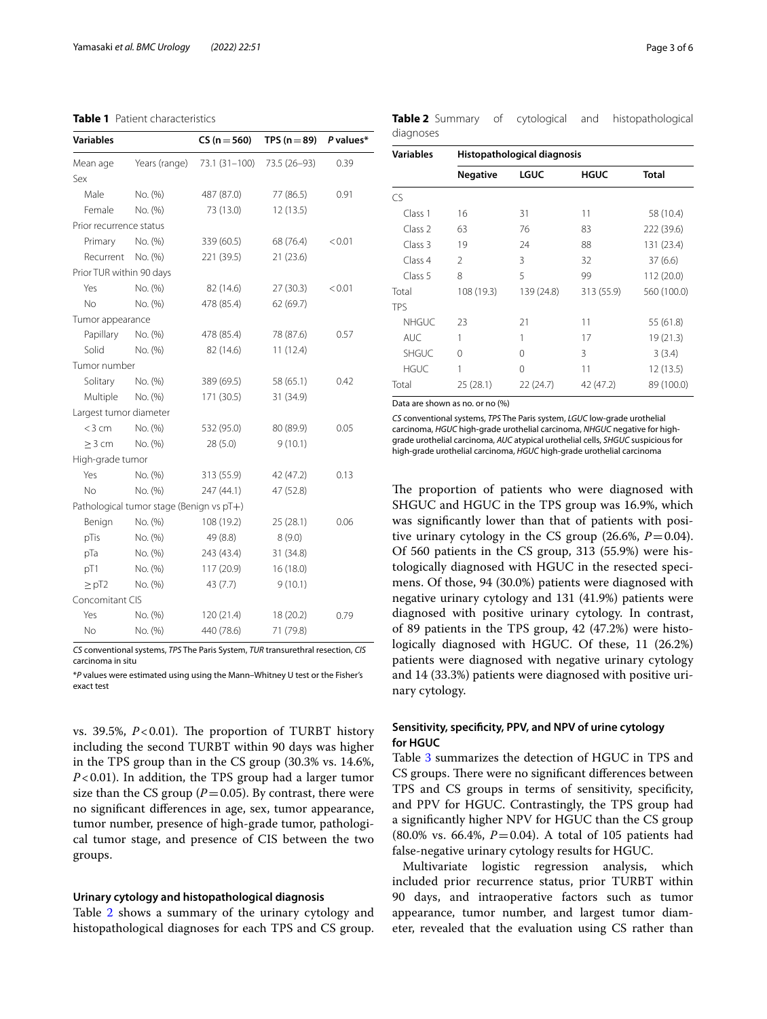| <b>Variables</b>         |                                          | $CS (n = 560)$ | TPS ( $n = 89$ ) | P values* |
|--------------------------|------------------------------------------|----------------|------------------|-----------|
| Mean age                 | Years (range)                            | 73.1 (31-100)  | 73.5 (26-93)     | 0.39      |
| Sex                      |                                          |                |                  |           |
| Male                     | No. (%)                                  | 487 (87.0)     | 77 (86.5)        | 0.91      |
| Female                   | No. (%)                                  | 73 (13.0)      | 12(13.5)         |           |
| Prior recurrence status  |                                          |                |                  |           |
| Primary                  | No. (%)                                  | 339 (60.5)     | 68 (76.4)        | < 0.01    |
| Recurrent                | No. (%)                                  | 221 (39.5)     | 21 (23.6)        |           |
| Prior TUR within 90 days |                                          |                |                  |           |
| Yes                      | No. (%)                                  | 82 (14.6)      | 27(30.3)         | < 0.01    |
| No                       | No. (%)                                  | 478 (85.4)     | 62 (69.7)        |           |
| Tumor appearance         |                                          |                |                  |           |
| Papillary                | No. (%)                                  | 478 (85.4)     | 78 (87.6)        | 0.57      |
| Solid                    | No. (%)                                  | 82 (14.6)      | 11(12.4)         |           |
| Tumor number             |                                          |                |                  |           |
| Solitary                 | No. (%)                                  | 389 (69.5)     | 58 (65.1)        | 0.42      |
| Multiple                 | No. (%)                                  | 171 (30.5)     | 31 (34.9)        |           |
| Largest tumor diameter   |                                          |                |                  |           |
| $<$ 3 cm                 | No. (%)                                  | 532 (95.0)     | 80 (89.9)        | 0.05      |
| $>$ 3 cm                 | No. (%)                                  | 28(5.0)        | 9(10.1)          |           |
| High-grade tumor         |                                          |                |                  |           |
| Yes                      | No. (%)                                  | 313 (55.9)     | 42 (47.2)        | 0.13      |
| <b>No</b>                | No. (%)                                  | 247 (44.1)     | 47 (52.8)        |           |
|                          | Pathological tumor stage (Benign vs pT+) |                |                  |           |
| Benign                   | No. (%)                                  | 108 (19.2)     | 25 (28.1)        | 0.06      |
| pTis                     | No. (%)                                  | 49 (8.8)       | 8(9.0)           |           |
| pTa                      | No. (%)                                  | 243 (43.4)     | 31 (34.8)        |           |
| pT1                      | No. (%)                                  | 117 (20.9)     | 16 (18.0)        |           |
| $\geq pT2$               | No. (%)                                  | 43 (7.7)       | 9(10.1)          |           |
| Concomitant CIS          |                                          |                |                  |           |
| Yes                      | No. (%)                                  | 120(21.4)      | 18 (20.2)        | 0.79      |
| <b>No</b>                | No. (%)                                  | 440 (78.6)     | 71 (79.8)        |           |

# <span id="page-2-0"></span>**Table 1** Patient characteristics

*CS* conventional systems, *TPS* The Paris System, *TUR* transurethral resection, *CIS* carcinoma in situ

\**P* values were estimated using using the Mann–Whitney U test or the Fisher's exact test

vs. 39.5%,  $P < 0.01$ ). The proportion of TURBT history including the second TURBT within 90 days was higher in the TPS group than in the CS group (30.3% vs. 14.6%, *P*<0.01). In addition, the TPS group had a larger tumor size than the CS group  $(P=0.05)$ . By contrast, there were no signifcant diferences in age, sex, tumor appearance, tumor number, presence of high-grade tumor, pathological tumor stage, and presence of CIS between the two groups.

# **Urinary cytology and histopathological diagnosis**

Table [2](#page-2-1) shows a summary of the urinary cytology and histopathological diagnoses for each TPS and CS group. <span id="page-2-1"></span>**Table 2** Summary of cytological and histopathological diagnoses

| <b>Variables</b> | Histopathological diagnosis |            |             |              |  |
|------------------|-----------------------------|------------|-------------|--------------|--|
|                  | <b>Negative</b>             | LGUC       | <b>HGUC</b> | <b>Total</b> |  |
| CS               |                             |            |             |              |  |
| Class 1          | 16                          | 31         | 11          | 58 (10.4)    |  |
| Class 2          | 63                          | 76         | 83          | 222 (39.6)   |  |
| Class 3          | 19                          | 24         | 88          | 131 (23.4)   |  |
| Class 4          | $\mathfrak{D}$              | 3          | 32          | 37(6.6)      |  |
| Class 5          | 8                           | 5          | 99          | 112 (20.0)   |  |
| Total            | 108 (19.3)                  | 139 (24.8) | 313 (55.9)  | 560 (100.0)  |  |
| TPS              |                             |            |             |              |  |
| <b>NHGUC</b>     | 23                          | 21         | 11          | 55 (61.8)    |  |
| <b>AUC</b>       | 1                           | 1          | 17          | 19 (21.3)    |  |
| <b>SHGUC</b>     | 0                           | 0          | 3           | 3(3.4)       |  |
| <b>HGUC</b>      | 1                           | 0          | 11          | 12(13.5)     |  |
| Total            | 25 (28.1)                   | 22 (24.7)  | 42 (47.2)   | 89 (100.0)   |  |

Data are shown as no. or no (%)

*CS* conventional systems, *TPS* The Paris system, *LGUC* low-grade urothelial carcinoma, *HGUC* high-grade urothelial carcinoma, *NHGUC* negative for highgrade urothelial carcinoma, *AUC* atypical urothelial cells, *SHGUC* suspicious for high-grade urothelial carcinoma, *HGUC* high-grade urothelial carcinoma

The proportion of patients who were diagnosed with SHGUC and HGUC in the TPS group was 16.9%, which was signifcantly lower than that of patients with positive urinary cytology in the CS group  $(26.6\%, P=0.04)$ . Of 560 patients in the CS group, 313 (55.9%) were histologically diagnosed with HGUC in the resected specimens. Of those, 94 (30.0%) patients were diagnosed with negative urinary cytology and 131 (41.9%) patients were diagnosed with positive urinary cytology. In contrast, of 89 patients in the TPS group, 42 (47.2%) were histologically diagnosed with HGUC. Of these, 11 (26.2%) patients were diagnosed with negative urinary cytology and 14 (33.3%) patients were diagnosed with positive urinary cytology.

# **Sensitivity, specifcity, PPV, and NPV of urine cytology for HGUC**

Table [3](#page-3-0) summarizes the detection of HGUC in TPS and CS groups. There were no significant differences between TPS and CS groups in terms of sensitivity, specifcity, and PPV for HGUC. Contrastingly, the TPS group had a signifcantly higher NPV for HGUC than the CS group (80.0% vs. 66.4%, *P*=0.04). A total of 105 patients had false-negative urinary cytology results for HGUC.

Multivariate logistic regression analysis, which included prior recurrence status, prior TURBT within 90 days, and intraoperative factors such as tumor appearance, tumor number, and largest tumor diameter, revealed that the evaluation using CS rather than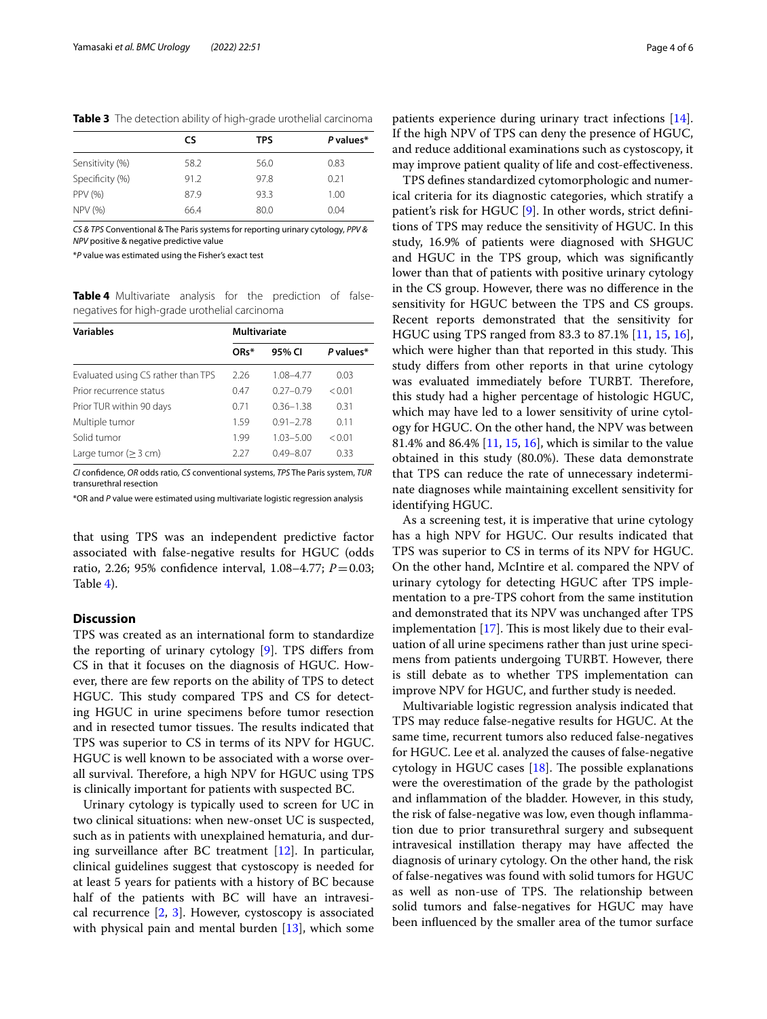<span id="page-3-0"></span>**Table 3** The detection ability of high-grade urothelial carcinoma

|                 | CS.  | <b>TPS</b> | P values* |
|-----------------|------|------------|-----------|
| Sensitivity (%) | 58.2 | 56.0       | 0.83      |
| Specificity (%) | 91.2 | 97.8       | 0.21      |
| PPV (%)         | 87.9 | 93.3       | 1.00      |
| <b>NPV (%)</b>  | 66.4 | 80.0       | 0.04      |

*CS & TPS* Conventional & The Paris systems for reporting urinary cytology, *PPV & NPV* positive & negative predictive value

\**P* value was estimated using the Fisher's exact test

<span id="page-3-1"></span>**Table 4** Multivariate analysis for the prediction of falsenegatives for high-grade urothelial carcinoma

| <b>Variables</b>                   | Multivariate |               |           |  |
|------------------------------------|--------------|---------------|-----------|--|
|                                    | ORs*         | 95% CI        | P values* |  |
| Evaluated using CS rather than TPS | 2.26         | 1.08-4.77     | 0.03      |  |
| Prior recurrence status            | 0.47         | $0.27 - 0.79$ | < 0.01    |  |
| Prior TUR within 90 days           | 0.71         | $0.36 - 1.38$ | 0.31      |  |
| Multiple tumor                     | 1.59         | $0.91 - 2.78$ | 0.11      |  |
| Solid tumor                        | 1.99         | $1.03 - 5.00$ | < 0.01    |  |
| Large tumor $(> 3 cm)$             | 227          | $0.49 - 8.07$ | 0.33      |  |

*CI* confdence, *OR* odds ratio, *CS* conventional systems, *TPS* The Paris system, *TUR* transurethral resection

\*OR and *P* value were estimated using multivariate logistic regression analysis

that using TPS was an independent predictive factor associated with false-negative results for HGUC (odds ratio, 2.26; 95% confdence interval, 1.08–4.77; *P*=0.03; Table [4](#page-3-1)).

# **Discussion**

TPS was created as an international form to standardize the reporting of urinary cytology [\[9](#page-4-8)]. TPS difers from CS in that it focuses on the diagnosis of HGUC. However, there are few reports on the ability of TPS to detect HGUC. This study compared TPS and CS for detecting HGUC in urine specimens before tumor resection and in resected tumor tissues. The results indicated that TPS was superior to CS in terms of its NPV for HGUC. HGUC is well known to be associated with a worse overall survival. Therefore, a high NPV for HGUC using TPS is clinically important for patients with suspected BC.

Urinary cytology is typically used to screen for UC in two clinical situations: when new-onset UC is suspected, such as in patients with unexplained hematuria, and during surveillance after BC treatment [[12\]](#page-5-1). In particular, clinical guidelines suggest that cystoscopy is needed for at least 5 years for patients with a history of BC because half of the patients with BC will have an intravesical recurrence [\[2](#page-4-1), [3\]](#page-4-2). However, cystoscopy is associated with physical pain and mental burden [\[13\]](#page-5-2), which some

patients experience during urinary tract infections [\[14](#page-5-3)]. If the high NPV of TPS can deny the presence of HGUC, and reduce additional examinations such as cystoscopy, it may improve patient quality of life and cost-efectiveness.

TPS defnes standardized cytomorphologic and numerical criteria for its diagnostic categories, which stratify a patient's risk for HGUC [[9](#page-4-8)]. In other words, strict definitions of TPS may reduce the sensitivity of HGUC. In this study, 16.9% of patients were diagnosed with SHGUC and HGUC in the TPS group, which was signifcantly lower than that of patients with positive urinary cytology in the CS group. However, there was no diference in the sensitivity for HGUC between the TPS and CS groups. Recent reports demonstrated that the sensitivity for HGUC using TPS ranged from 83.3 to 87.1% [\[11,](#page-5-0) [15,](#page-5-4) [16](#page-5-5)], which were higher than that reported in this study. This study difers from other reports in that urine cytology was evaluated immediately before TURBT. Therefore, this study had a higher percentage of histologic HGUC, which may have led to a lower sensitivity of urine cytology for HGUC. On the other hand, the NPV was between 81.4% and 86.4% [[11,](#page-5-0) [15](#page-5-4), [16\]](#page-5-5), which is similar to the value obtained in this study (80.0%). These data demonstrate that TPS can reduce the rate of unnecessary indeterminate diagnoses while maintaining excellent sensitivity for identifying HGUC.

As a screening test, it is imperative that urine cytology has a high NPV for HGUC. Our results indicated that TPS was superior to CS in terms of its NPV for HGUC. On the other hand, McIntire et al. compared the NPV of urinary cytology for detecting HGUC after TPS implementation to a pre-TPS cohort from the same institution and demonstrated that its NPV was unchanged after TPS implementation  $[17]$  $[17]$  $[17]$ . This is most likely due to their evaluation of all urine specimens rather than just urine specimens from patients undergoing TURBT. However, there is still debate as to whether TPS implementation can improve NPV for HGUC, and further study is needed.

Multivariable logistic regression analysis indicated that TPS may reduce false-negative results for HGUC. At the same time, recurrent tumors also reduced false-negatives for HGUC. Lee et al. analyzed the causes of false-negative cytology in HGUC cases  $[18]$  $[18]$ . The possible explanations were the overestimation of the grade by the pathologist and infammation of the bladder. However, in this study, the risk of false-negative was low, even though infammation due to prior transurethral surgery and subsequent intravesical instillation therapy may have afected the diagnosis of urinary cytology. On the other hand, the risk of false-negatives was found with solid tumors for HGUC as well as non-use of TPS. The relationship between solid tumors and false-negatives for HGUC may have been infuenced by the smaller area of the tumor surface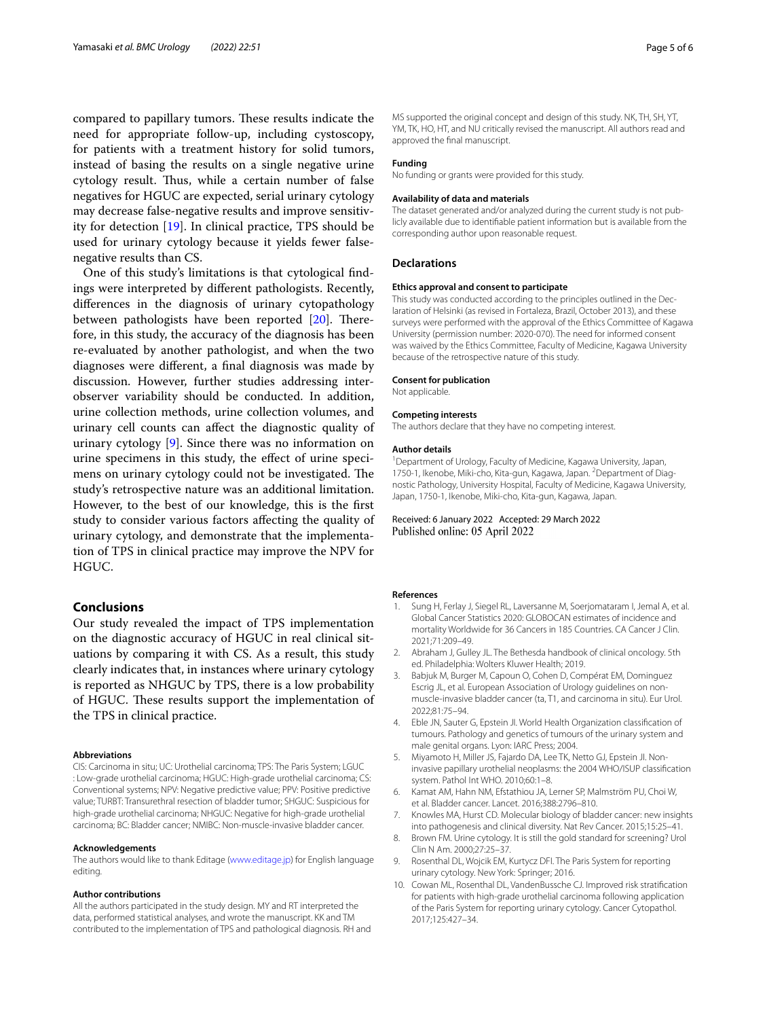compared to papillary tumors. These results indicate the need for appropriate follow-up, including cystoscopy, for patients with a treatment history for solid tumors, instead of basing the results on a single negative urine cytology result. Thus, while a certain number of false negatives for HGUC are expected, serial urinary cytology may decrease false-negative results and improve sensitivity for detection [[19\]](#page-5-8). In clinical practice, TPS should be used for urinary cytology because it yields fewer falsenegative results than CS.

One of this study's limitations is that cytological fndings were interpreted by diferent pathologists. Recently, diferences in the diagnosis of urinary cytopathology between pathologists have been reported [\[20\]](#page-5-9). Therefore, in this study, the accuracy of the diagnosis has been re-evaluated by another pathologist, and when the two diagnoses were diferent, a fnal diagnosis was made by discussion. However, further studies addressing interobserver variability should be conducted. In addition, urine collection methods, urine collection volumes, and urinary cell counts can afect the diagnostic quality of urinary cytology [[9\]](#page-4-8). Since there was no information on urine specimens in this study, the efect of urine specimens on urinary cytology could not be investigated. The study's retrospective nature was an additional limitation. However, to the best of our knowledge, this is the frst study to consider various factors afecting the quality of urinary cytology, and demonstrate that the implementation of TPS in clinical practice may improve the NPV for HGUC.

# **Conclusions**

Our study revealed the impact of TPS implementation on the diagnostic accuracy of HGUC in real clinical situations by comparing it with CS. As a result, this study clearly indicates that, in instances where urinary cytology is reported as NHGUC by TPS, there is a low probability of HGUC. These results support the implementation of the TPS in clinical practice.

#### **Abbreviations**

CIS: Carcinoma in situ; UC: Urothelial carcinoma; TPS: The Paris System; LGUC : Low-grade urothelial carcinoma; HGUC: High-grade urothelial carcinoma; CS: Conventional systems; NPV: Negative predictive value; PPV: Positive predictive value; TURBT: Transurethral resection of bladder tumor; SHGUC: Suspicious for high-grade urothelial carcinoma; NHGUC: Negative for high-grade urothelial carcinoma; BC: Bladder cancer; NMIBC: Non-muscle-invasive bladder cancer.

#### **Acknowledgements**

The authors would like to thank Editage ([www.editage.jp\)](http://www.editage.jp) for English language editing.

#### **Author contributions**

All the authors participated in the study design. MY and RT interpreted the data, performed statistical analyses, and wrote the manuscript. KK and TM contributed to the implementation of TPS and pathological diagnosis. RH and

MS supported the original concept and design of this study. NK, TH, SH, YT, YM, TK, HO, HT, and NU critically revised the manuscript. All authors read and approved the fnal manuscript.

#### **Funding**

No funding or grants were provided for this study.

#### **Availability of data and materials**

The dataset generated and/or analyzed during the current study is not publicly available due to identifable patient information but is available from the corresponding author upon reasonable request.

#### **Declarations**

#### **Ethics approval and consent to participate**

This study was conducted according to the principles outlined in the Declaration of Helsinki (as revised in Fortaleza, Brazil, October 2013), and these surveys were performed with the approval of the Ethics Committee of Kagawa University (permission number: 2020-070). The need for informed consent was waived by the Ethics Committee, Faculty of Medicine, Kagawa University because of the retrospective nature of this study.

#### **Consent for publication**

Not applicable.

#### **Competing interests**

The authors declare that they have no competing interest.

#### **Author details**

<sup>1</sup> Department of Urology, Faculty of Medicine, Kagawa University, Japan, 1750-1, Ikenobe, Miki-cho, Kita-gun, Kagawa, Japan. <sup>2</sup> Department of Diagnostic Pathology, University Hospital, Faculty of Medicine, Kagawa University, Japan, 1750-1, Ikenobe, Miki-cho, Kita-gun, Kagawa, Japan.

# Received: 6 January 2022 Accepted: 29 March 2022 Published online: 05 April 2022

#### **References**

- <span id="page-4-0"></span>1. Sung H, Ferlay J, Siegel RL, Laversanne M, Soerjomataram I, Jemal A, et al. Global Cancer Statistics 2020: GLOBOCAN estimates of incidence and mortality Worldwide for 36 Cancers in 185 Countries. CA Cancer J Clin. 2021;71:209–49.
- <span id="page-4-1"></span>2. Abraham J, Gulley JL. The Bethesda handbook of clinical oncology. 5th ed. Philadelphia: Wolters Kluwer Health; 2019.
- <span id="page-4-2"></span>3. Babjuk M, Burger M, Capoun O, Cohen D, Compérat EM, Dominguez Escrig JL, et al. European Association of Urology guidelines on nonmuscle-invasive bladder cancer (ta, T1, and carcinoma in situ). Eur Urol. 2022;81:75–94.
- <span id="page-4-3"></span>4. Eble JN, Sauter G, Epstein JI. World Health Organization classifcation of tumours. Pathology and genetics of tumours of the urinary system and male genital organs. Lyon: IARC Press; 2004.
- <span id="page-4-4"></span>5. Miyamoto H, Miller JS, Fajardo DA, Lee TK, Netto GJ, Epstein JI. Noninvasive papillary urothelial neoplasms: the 2004 WHO/ISUP classifcation system. Pathol Int WHO. 2010;60:1–8.
- <span id="page-4-5"></span>6. Kamat AM, Hahn NM, Efstathiou JA, Lerner SP, Malmström PU, Choi W, et al. Bladder cancer. Lancet. 2016;388:2796–810.
- <span id="page-4-6"></span>7. Knowles MA, Hurst CD. Molecular biology of bladder cancer: new insights into pathogenesis and clinical diversity. Nat Rev Cancer. 2015;15:25–41.
- <span id="page-4-7"></span>8. Brown FM. Urine cytology. It is still the gold standard for screening? Urol Clin N Am. 2000;27:25–37.
- <span id="page-4-8"></span>9. Rosenthal DL, Wojcik EM, Kurtycz DFI. The Paris System for reporting urinary cytology. New York: Springer; 2016.
- <span id="page-4-9"></span>10. Cowan ML, Rosenthal DL, VandenBussche CJ. Improved risk stratifcation for patients with high-grade urothelial carcinoma following application of the Paris System for reporting urinary cytology. Cancer Cytopathol. 2017;125:427–34.